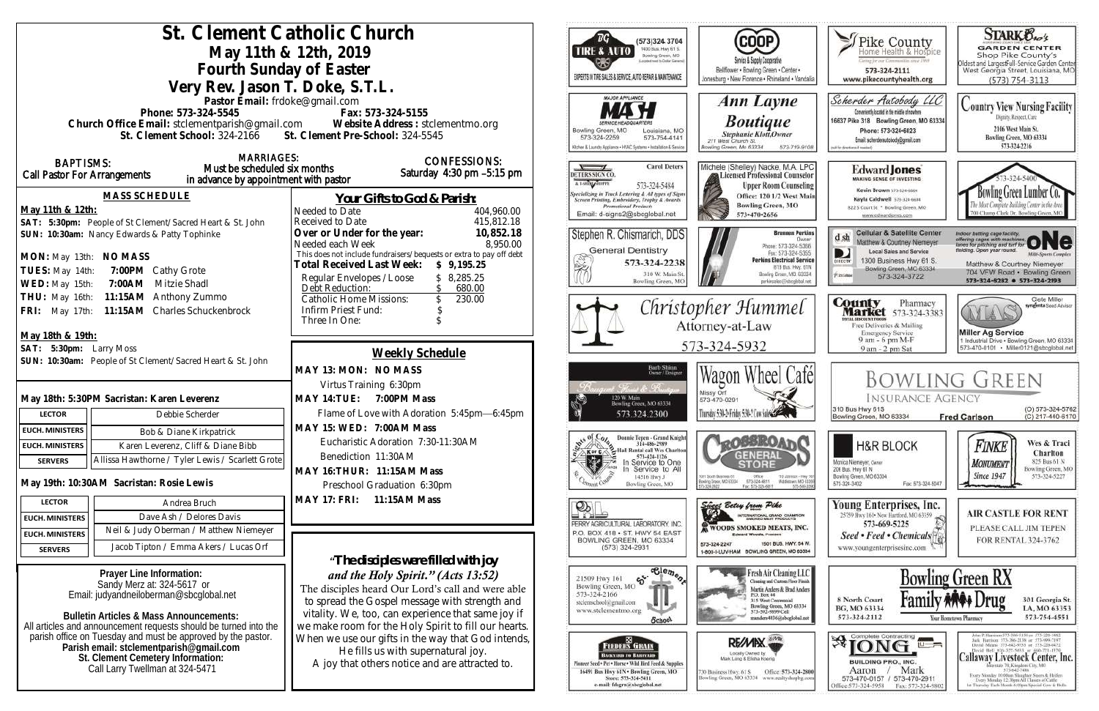| St. Clement Catholic Church<br>May 11th & 12th, 2019<br>Fourth Sunday of Easter<br>Very Rev. Jason T. Doke, S.T.L.                                                                                               |                                                                                                                                                                                                          |                                                                                                                                                                                                                                                         | ™G`<br>(573)324 3704<br>1400 Bus. Hwy 61 S.<br><b>TIRE &amp; AUTO</b><br>Bowling Green, MO<br>picked must to Dallar General<br>EXPERTS IN TIRE SALES & SERVICE, AUTO REPAIR & MAINTENANCE                         | (COOP)<br>Service & Supply Cooperative<br>Bellflower . Bowling Green . Center .<br>Jonesburg . New Florence . Rhineland . Vandalia                                                                         | Fike County<br><b>Jermay For our Communities since 1999</b><br>573-324-2111<br>www.pikecountyhealth.org                                                                                                         | <b>STARK Bros</b><br><b>GARDEN CENTER</b><br>Shop Pike County's<br>Oldest and LargestFull-Service Garden Center<br>West Georgia Street, Louisiana, MO<br>$(573) 754 - 3113$                                                                                                                                                                                                                 |
|------------------------------------------------------------------------------------------------------------------------------------------------------------------------------------------------------------------|----------------------------------------------------------------------------------------------------------------------------------------------------------------------------------------------------------|---------------------------------------------------------------------------------------------------------------------------------------------------------------------------------------------------------------------------------------------------------|-------------------------------------------------------------------------------------------------------------------------------------------------------------------------------------------------------------------|------------------------------------------------------------------------------------------------------------------------------------------------------------------------------------------------------------|-----------------------------------------------------------------------------------------------------------------------------------------------------------------------------------------------------------------|---------------------------------------------------------------------------------------------------------------------------------------------------------------------------------------------------------------------------------------------------------------------------------------------------------------------------------------------------------------------------------------------|
| Phone: 573-324-5545                                                                                                                                                                                              | Pastor Email: frdoke@gmail.com<br>Fax: 573-324-5155<br>Church Office Email: stclementparish@gmail.com Website Address : stclementmo.org<br>St. Clement School: 324-2166 St. Clement Pre-School: 324-5545 |                                                                                                                                                                                                                                                         | MAJOR APPLIANCE<br>Bowling Green, MO<br>Louisiana, MO<br>573-324-2259<br>573-754-4141<br>Glohen & Laundry Appliance . HVAC Systems . Installation & Service                                                       | Ann Layne<br><b>Boutique</b><br>Stephanie Klott, Owner<br>211 West Church St.<br><b>Jowling Green, Mo 63334</b><br>573-719-9108                                                                            | Scherder Autobody LLC<br>Conveniently located in the middle of nowhere<br>16637 Pike 318 Bowling Green, MO 63334<br>Phone: 573+324+6023<br>Email: scherderautobody@omail.com<br>call for directions if needed   | <b>Country View Nursing Facility</b><br>Dignity, Respect, Care<br>2106 West Main St.<br>Bowling Green, MO 63334<br>573-324-2216                                                                                                                                                                                                                                                             |
| <b>BAPTISMS:</b><br>Call Pastor For Arrangements                                                                                                                                                                 | <b>MARRIAGES:</b><br>Must be scheduled six months<br>in advance by appointment with pastor                                                                                                               | <b>CONFESSIONS:</b><br>Saturday $4:30$ pm $-5:15$ pm                                                                                                                                                                                                    | <b>Carol Deters</b><br>DETERS SIGN CO.<br>A T-SHINLAROPPE<br>573-324-5484                                                                                                                                         | Michele (Shelley) Nacke, M.A. LPC<br>Licensed Professional Counselor<br><b>Upper Room Counseling</b>                                                                                                       | Edward <b>Jones</b><br><b>MAKING SENSE OF INVESTING</b><br>Kevin Brown 573-324-6604                                                                                                                             |                                                                                                                                                                                                                                                                                                                                                                                             |
| <b>MASS SCHEDULE</b><br>May 11th & 12th:<br>SAT: 5:30pm: People of St Clement/Sacred Heart & St. John                                                                                                            | Needed to Date<br>Received to Date                                                                                                                                                                       | Your Gifts to God & Parish:<br>404,960.00<br>415,812.18                                                                                                                                                                                                 | <b>Specializing in Truck Lettering &amp; All types of Signs</b><br>Screen Printing, Embroidery, Trophy & Awards<br><b>Promotional Products</b><br>Email: d-signs2@sbcglobal.net                                   | Office: 120 1/2 West Main<br><b>Bowling Green, MO</b><br>573-470-2656                                                                                                                                      | Kayla Caldwell 573-324-6604<br>822 S Court St * Bowling Green, MO<br>www.edwardjones.com                                                                                                                        | Bowling Green Lumber Co.<br>700 Champ Clark Dr. Bowling Green, M                                                                                                                                                                                                                                                                                                                            |
| SUN: 10:30am: Nancy Edwards & Patty Tophinke<br>MON: May 13th: NO MASS<br>TUES: May 14th:<br>7:00PM Cathy Grote<br>7:00AM Mitzie Shadl<br>WED: May 15th:                                                         | Over or Under for the year:<br>Needed each Week<br>Total Received Last Week: \$9,195.25<br>Regular Envelopes / Loose<br>Debt Reduction:                                                                  | 10,852.18<br>8,950.00<br>This does not include fundraisers/bequests or extra to pay off debt<br>\$8,285.25<br>680.00                                                                                                                                    | Stephen R. Chismarich, DDS<br><b>General Dentistry</b><br>573-324-2238<br>310 W. Main St<br>Bowling Green, MC                                                                                                     | <b>Brennen Perkins</b><br><b>Dwner</b><br>Phone: 573-324-5366<br>Fax: 573-324-5355<br><b>Perkins Electrical Service</b><br>B19 Bus. Hwy. 61N<br>Bowling Green, MO. 63334<br>perkinselec@ishcolobal.net     | <b>Cellular &amp; Satellite Center</b><br>$d$ sh<br>Matthew & Courtney Niemeyer<br><b>Local Sales and Service</b><br>D<br>1300 Business Hwy 61 S.<br>Bowling Green, MO 63334<br><b>Kiatohie</b><br>573-324-3722 | Indoor batting cage facility.<br>offering cages with machines ONC<br>lelding. Open year round.<br><b>Milli-Sparts Complex</b><br>Matthew & Courtney Niemeyer<br>704 VFW Road · Bowling Green<br>573-324-8282 0 573-324-2193                                                                                                                                                                 |
| THU: May 16th: 11:15AM Anthony Zummo<br>FRI: May 17th: 11:15AM Charles Schuckenbrock                                                                                                                             | Infirm Priest Fund:<br>Three In One:                                                                                                                                                                     | 230.00<br><b>Catholic Home Missions:</b>                                                                                                                                                                                                                |                                                                                                                                                                                                                   | Christopher Hummel<br>Attorney-at-Law<br>573-324-5932                                                                                                                                                      |                                                                                                                                                                                                                 | Clete Miller<br><b>County</b> Pharmacy<br><b>Market</b> 573-324-3383<br>syngenta Sood Adviso<br>NY LAV<br><b>ITAL BISCOUNT POOGS</b><br>Free Deliveries & Mailing<br><b>Miller Ag Service</b><br><b>Emergency Service</b>                                                                                                                                                                   |
| May 18th & 19th:<br>SAT: 5:30pm: Larry Moss<br>SUN: 10:30am: People of St Clement/Sacred Heart & St. John                                                                                                        |                                                                                                                                                                                                          | Weekly Schedule<br>MAY 13: MON: NO MASS                                                                                                                                                                                                                 |                                                                                                                                                                                                                   |                                                                                                                                                                                                            |                                                                                                                                                                                                                 | 9 am - 6 pm M-F<br>1 Industrial Drive . Bowling Green, MO 63334<br>573-470-0101 Miller0121@sbcglobal.net<br>9 am - 2 pm Sat                                                                                                                                                                                                                                                                 |
|                                                                                                                                                                                                                  |                                                                                                                                                                                                          |                                                                                                                                                                                                                                                         | Barb Shinn<br>Owner/Designer                                                                                                                                                                                      | Wagon Wheel Cafél                                                                                                                                                                                          |                                                                                                                                                                                                                 | <b>BOWLING GREEN</b>                                                                                                                                                                                                                                                                                                                                                                        |
|                                                                                                                                                                                                                  | Virtus Training 6:30pm                                                                                                                                                                                   |                                                                                                                                                                                                                                                         |                                                                                                                                                                                                                   | Missy Orf                                                                                                                                                                                                  |                                                                                                                                                                                                                 |                                                                                                                                                                                                                                                                                                                                                                                             |
| May 18th: 5:30PM Sacristan: Karen Leverenz                                                                                                                                                                       | MAY 14: TUE: 7:00PM Mass                                                                                                                                                                                 |                                                                                                                                                                                                                                                         | 120 W. Main<br>Bowling Green, MO 63334                                                                                                                                                                            | 573-470-0291                                                                                                                                                                                               | <b>INSURANCE AGENCY</b><br>310 Bus Hwy 61S                                                                                                                                                                      | (O) 573-324-5762                                                                                                                                                                                                                                                                                                                                                                            |
| Debbie Scherder<br><b>LECTOR</b>                                                                                                                                                                                 |                                                                                                                                                                                                          | Flame of Love with Adoration 5:45pm-6:45pm                                                                                                                                                                                                              | 573.324.2300                                                                                                                                                                                                      | Thursday 5:30-2 Friday 5:30-2 Con Subscription                                                                                                                                                             | Bowling Green, MO 63334                                                                                                                                                                                         | (C) 217-440-6170<br><b>Fred Carlson</b>                                                                                                                                                                                                                                                                                                                                                     |
| <b>EUCH. MINISTERS</b><br>Bob & Diane Kirkpatrick                                                                                                                                                                | MAY 15: WED: 7:00AM Mass                                                                                                                                                                                 |                                                                                                                                                                                                                                                         | Donnie Tepen - Grand Knight                                                                                                                                                                                       |                                                                                                                                                                                                            |                                                                                                                                                                                                                 |                                                                                                                                                                                                                                                                                                                                                                                             |
| Karen Leverenz, Cliff & Diane Bibb<br><b>EUCH. MINISTERS</b>                                                                                                                                                     | Eucharistic Adoration 7:30-11:30AM                                                                                                                                                                       |                                                                                                                                                                                                                                                         | 314-486-2989<br>Hall Rental call Wes Charlton<br>Kor C                                                                                                                                                            | <b>LOBBROAT</b>                                                                                                                                                                                            | <b>H&amp;R BLOCK</b>                                                                                                                                                                                            | Wes & Traci<br>Finke<br>Charlton                                                                                                                                                                                                                                                                                                                                                            |
| Allissa Hawthorne / Tyler Lewis / Scarlett Grote<br><b>SERVERS</b>                                                                                                                                               | Benediction 11:30AM                                                                                                                                                                                      |                                                                                                                                                                                                                                                         | 573-424-1126<br>家<br>In Service to One<br>In Service to All                                                                                                                                                       | GENERAL                                                                                                                                                                                                    | Monica Niemeyer, Owner<br>206 Bus. Hwy 61 N                                                                                                                                                                     | 825 Bus 61 N<br><b>MONUMENT</b><br>Bowling Green, MO                                                                                                                                                                                                                                                                                                                                        |
| May 19th: 10:30AM Sacristan: Rosie Lewis                                                                                                                                                                         | MAY 16: THUR: 11:15AM Mass<br>Preschool Graduation 6:30pm                                                                                                                                                |                                                                                                                                                                                                                                                         | 14516 Hwy J<br>Bowling Green, MO                                                                                                                                                                                  | 1001 South Business 61<br>Office<br>110 Johnson - Hwy 50<br>573-324-6811<br>Middietown, MD-6335<br>Bowling Green, MD 63334<br>Fax: 573-324-6811<br>573-589-20                                              | Bowling Green, MO 63334<br>573-324-3402<br>Fax: 573-324-5047                                                                                                                                                    | <b>Since 1947</b><br>573-324-5227                                                                                                                                                                                                                                                                                                                                                           |
| <b>LECTOR</b><br>Andrea Bruch                                                                                                                                                                                    | MAY 17: FRI: 11:15AM Mass                                                                                                                                                                                |                                                                                                                                                                                                                                                         | $\mathcal{D}_\mathbb{R}$                                                                                                                                                                                          | Since Belay from Pike                                                                                                                                                                                      | Young Enterprises, Inc.                                                                                                                                                                                         | <b>AIR CASTLE FOR RENT</b>                                                                                                                                                                                                                                                                                                                                                                  |
| Dave Ash / Delores Davis<br><b>EUCH. MINISTERS</b>                                                                                                                                                               |                                                                                                                                                                                                          |                                                                                                                                                                                                                                                         | PERRY AGRICULTURAL LABORATORY, INC.                                                                                                                                                                               | INTERNATIONAL GRAND CHAMPION                                                                                                                                                                               | 25759 Hwy 161 - New Hartford, MO 63359<br>573-669-5225                                                                                                                                                          |                                                                                                                                                                                                                                                                                                                                                                                             |
| Neil & Judy Oberman / Matthew Niemeyer<br><b>EUCH. MINISTERS</b>                                                                                                                                                 |                                                                                                                                                                                                          |                                                                                                                                                                                                                                                         | P.O. BOX 418 . ST. HWY 54 EAST<br>BOWLING GREEN, MO 63334                                                                                                                                                         | <b>WOODS SMOKED MEATS, INC.</b><br><b>Edward Woods, President</b>                                                                                                                                          | Seed • Feed • Chemicals <sup>[4]</sup>                                                                                                                                                                          | PLEASE CALL JIM TEPEN<br>FOR RENTAL 324-3762                                                                                                                                                                                                                                                                                                                                                |
| Jacob Tipton / Emma Akers / Lucas Orf<br><b>SERVERS</b>                                                                                                                                                          |                                                                                                                                                                                                          |                                                                                                                                                                                                                                                         | $(573)$ 324-2931                                                                                                                                                                                                  | 1501 BUS, HWY, 54 W.<br>573-324-2247<br>1-800-I-LUV-HAM BOWLING GREEN, MO 63334                                                                                                                            | www.youngenterprisesinc.com                                                                                                                                                                                     |                                                                                                                                                                                                                                                                                                                                                                                             |
|                                                                                                                                                                                                                  |                                                                                                                                                                                                          | "The disciples were filled with joy"                                                                                                                                                                                                                    | $ \frac{1}{2}$ $\frac{1}{2}$                                                                                                                                                                                      |                                                                                                                                                                                                            |                                                                                                                                                                                                                 |                                                                                                                                                                                                                                                                                                                                                                                             |
| Prayer Line Information:<br>Sandy Merz at: 324-5617 or<br>Email: judyandneiloberman@sbcglobal.net<br>Bulletin Articles & Mass Announcements:<br>All articles and announcement requests should be turned into the |                                                                                                                                                                                                          | and the Holy Spirit." (Acts 13:52)<br>The disciples heard Our Lord's call and were able<br>to spread the Gospel message with strength and<br>vitality. We, too, can experience that same joy if<br>we make room for the Holy Spirit to fill our hearts. |                                                                                                                                                                                                                   | Fresh Air Cleaning LLC<br>Thuring and Custom Floor Finish<br>Martin Anders & Brad Anders<br>P.O. Box 44<br>315 West Centennial<br>Bowling Green, MO 63334<br>573-592-9899 Cell<br>manders4036@sbcglobal.ne | 8 North Court<br>BG, MO 63334<br>573-324-2112                                                                                                                                                                   | <b>Bowling Green RX</b><br>301 Georgia St.<br>LA, MO 63353<br>573-754-4551<br>Your Hometown Pharmacy                                                                                                                                                                                                                                                                                        |
| parish office on Tuesday and must be approved by the pastor.<br>Parish email: stclementparish@gmail.com<br>St. Clement Cemetery Information:<br>Call Larry Twellman at 324-5471                                  |                                                                                                                                                                                                          | When we use our gifts in the way that God intends,<br>He fills us with supernatural joy.<br>A joy that others notice and are attracted to.                                                                                                              | . BB 1<br><b>FEEDERS GRAIN</b><br>Васкулив то Влимулив-<br>Finneer Seed + Pet . Horse . Wild Hird Feed & Supplies<br>16491 Bus Hwy 61N . Bowling Green, MO<br>Store: 573-324-5411<br>e-mail: fdsgrn@sbcglobal.net | RE/MIX<br>Locally Owned by<br>Office: 573-324-2800<br>130 Business Hwy, 61 S<br>Bowling Green, MO 63334 www.realtyshopbg.com                                                                               | <b>Ajone</b><br>$\overline{u}$ $\overline{u}$<br><b>BUILDING PRO., INC.</b><br>Mark<br>Aaron<br>573-470-0157 / 573-470-2911<br>Office:573-324-5958<br>Fax: 573-324-980                                          | John P. Harrison 573-386-5150 or 573-220-1482<br>Jack Hurrison 573-386-2138 or 573-999-7197<br>David Means 573-642-9753 st 573-220-0472<br>David Bell 816-527-5633 or 660-721-1370<br>Callaway Livestock Center, Inc.<br>573-642-7486<br>Exery Monitay 10:00am Sloughor Steers & Heifery<br>Every Memby 12:30pm All Classes of Cattle<br>at Thursday Each Month 6:00pm Special Cow & Bulls. |